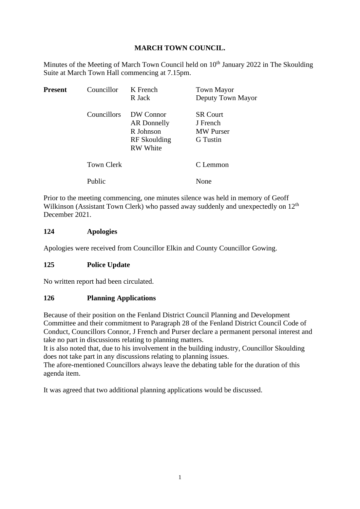# **MARCH TOWN COUNCIL.**

Minutes of the Meeting of March Town Council held on  $10<sup>th</sup>$  January 2022 in The Skoulding Suite at March Town Hall commencing at 7.15pm.

| <b>Present</b> | Councillor        | K French<br>R Jack                                                       | <b>Town Mayor</b><br>Deputy Town Mayor                             |
|----------------|-------------------|--------------------------------------------------------------------------|--------------------------------------------------------------------|
|                | Councillors       | DW Connor<br>AR Donnelly<br>R Johnson<br>RF Skoulding<br><b>RW</b> White | <b>SR</b> Court<br>J French<br><b>MW</b> Purser<br><b>G</b> Tustin |
|                | <b>Town Clerk</b> |                                                                          | C Lemmon                                                           |
|                | Public            |                                                                          | None                                                               |

Prior to the meeting commencing, one minutes silence was held in memory of Geoff Wilkinson (Assistant Town Clerk) who passed away suddenly and unexpectedly on 12<sup>th</sup> December 2021.

## **124 Apologies**

Apologies were received from Councillor Elkin and County Councillor Gowing.

# **125 Police Update**

No written report had been circulated.

#### **126 Planning Applications**

Because of their position on the Fenland District Council Planning and Development Committee and their commitment to Paragraph 28 of the Fenland District Council Code of Conduct, Councillors Connor, J French and Purser declare a permanent personal interest and take no part in discussions relating to planning matters.

It is also noted that, due to his involvement in the building industry, Councillor Skoulding does not take part in any discussions relating to planning issues.

The afore-mentioned Councillors always leave the debating table for the duration of this agenda item.

It was agreed that two additional planning applications would be discussed.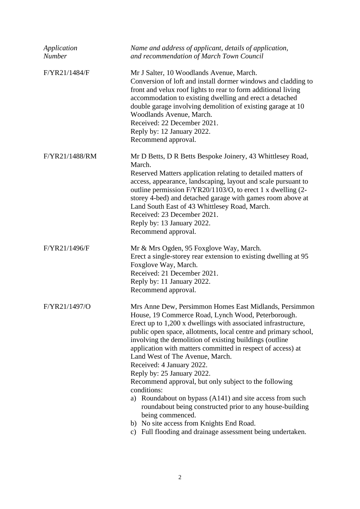| Application<br>Number | Name and address of applicant, details of application,<br>and recommendation of March Town Council                                                                                                                                                                                                                                                                                                                                                                                                                                                                                                                                                                                                                                                                                                        |
|-----------------------|-----------------------------------------------------------------------------------------------------------------------------------------------------------------------------------------------------------------------------------------------------------------------------------------------------------------------------------------------------------------------------------------------------------------------------------------------------------------------------------------------------------------------------------------------------------------------------------------------------------------------------------------------------------------------------------------------------------------------------------------------------------------------------------------------------------|
| F/YR21/1484/F         | Mr J Salter, 10 Woodlands Avenue, March.<br>Conversion of loft and install dormer windows and cladding to<br>front and velux roof lights to rear to form additional living<br>accommodation to existing dwelling and erect a detached<br>double garage involving demolition of existing garage at 10<br>Woodlands Avenue, March.<br>Received: 22 December 2021.<br>Reply by: 12 January 2022.<br>Recommend approval.                                                                                                                                                                                                                                                                                                                                                                                      |
| F/YR21/1488/RM        | Mr D Betts, D R Betts Bespoke Joinery, 43 Whittlesey Road,<br>March.<br>Reserved Matters application relating to detailed matters of<br>access, appearance, landscaping, layout and scale pursuant to<br>outline permission F/YR20/1103/O, to erect 1 x dwelling (2-<br>storey 4-bed) and detached garage with games room above at<br>Land South East of 43 Whittlesey Road, March.<br>Received: 23 December 2021.<br>Reply by: 13 January 2022.<br>Recommend approval.                                                                                                                                                                                                                                                                                                                                   |
| F/YR21/1496/F         | Mr & Mrs Ogden, 95 Foxglove Way, March.<br>Erect a single-storey rear extension to existing dwelling at 95<br>Foxglove Way, March.<br>Received: 21 December 2021.<br>Reply by: 11 January 2022.<br>Recommend approval.                                                                                                                                                                                                                                                                                                                                                                                                                                                                                                                                                                                    |
| F/YR21/1497/O         | Mrs Anne Dew, Persimmon Homes East Midlands, Persimmon<br>House, 19 Commerce Road, Lynch Wood, Peterborough.<br>Erect up to 1,200 x dwellings with associated infrastructure,<br>public open space, allotments, local centre and primary school,<br>involving the demolition of existing buildings (outline<br>application with matters committed in respect of access) at<br>Land West of The Avenue, March.<br>Received: 4 January 2022.<br>Reply by: 25 January 2022.<br>Recommend approval, but only subject to the following<br>conditions:<br>Roundabout on bypass (A141) and site access from such<br>a)<br>roundabout being constructed prior to any house-building<br>being commenced.<br>b) No site access from Knights End Road.<br>c) Full flooding and drainage assessment being undertaken. |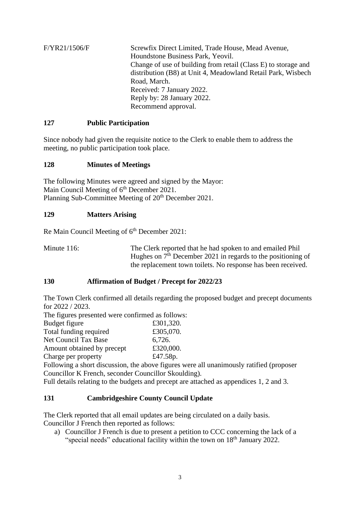F/YR21/1506/F Screwfix Direct Limited, Trade House, Mead Avenue, Houndstone Business Park, Yeovil. Change of use of building from retail (Class E) to storage and distribution (B8) at Unit 4, Meadowland Retail Park, Wisbech Road, March. Received: 7 January 2022. Reply by: 28 January 2022. Recommend approval.

## **127 Public Participation**

Since nobody had given the requisite notice to the Clerk to enable them to address the meeting, no public participation took place.

## **128 Minutes of Meetings**

The following Minutes were agreed and signed by the Mayor: Main Council Meeting of 6<sup>th</sup> December 2021. Planning Sub-Committee Meeting of 20<sup>th</sup> December 2021.

## **129 Matters Arising**

Re Main Council Meeting of 6<sup>th</sup> December 2021:

Minute 116: The Clerk reported that he had spoken to and emailed Phil Hughes on  $7<sup>th</sup>$  December 2021 in regards to the positioning of the replacement town toilets. No response has been received.

#### **130 Affirmation of Budget / Precept for 2022/23**

The Town Clerk confirmed all details regarding the proposed budget and precept documents for 2022 / 2023.

The figures presented were confirmed as follows: Budget figure  $£301,320$ . Total funding required  $£305,070.$ Net Council Tax Base 6,726. Amount obtained by precept £320,000. Charge per property  $£47.58p.$ Following a short discussion, the above figures were all unanimously ratified (proposer Councillor K French, seconder Councillor Skoulding). Full details relating to the budgets and precept are attached as appendices 1, 2 and 3.

#### **131 Cambridgeshire County Council Update**

The Clerk reported that all email updates are being circulated on a daily basis. Councillor J French then reported as follows:

a) Councillor J French is due to present a petition to CCC concerning the lack of a "special needs" educational facility within the town on 18<sup>th</sup> January 2022.